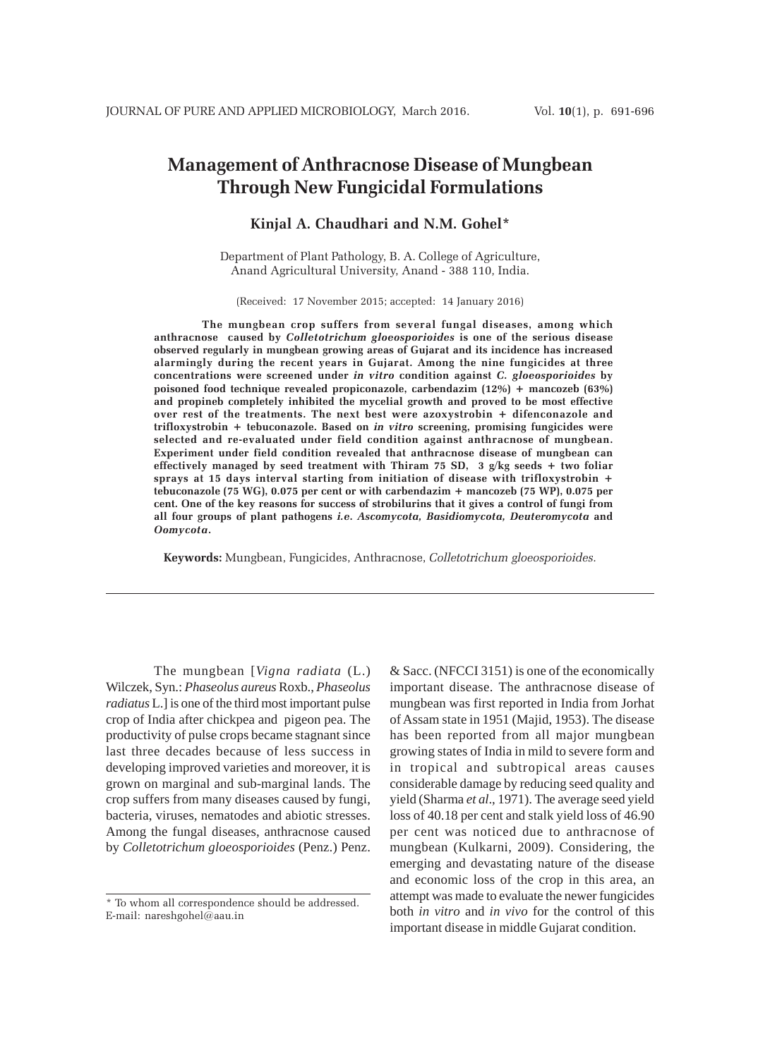# **Management of Anthracnose Disease of Mungbean Through New Fungicidal Formulations**

## **Kinjal A. Chaudhari and N.M. Gohel\***

Department of Plant Pathology, B. A. College of Agriculture, Anand Agricultural University, Anand - 388 110, India.

(Received: 17 November 2015; accepted: 14 January 2016)

**The mungbean crop suffers from several fungal diseases, among which anthracnose caused by** *Colletotrichum gloeosporioides* **is one of the serious disease observed regularly in mungbean growing areas of Gujarat and its incidence has increased alarmingly during the recent years in Gujarat. Among the nine fungicides at three concentrations were screened under** *in vitro* **condition against** *C. gloeosporioides* **by poisoned food technique revealed propiconazole, carbendazim (12%) + mancozeb (63%) and propineb completely inhibited the mycelial growth and proved to be most effective over rest of the treatments. The next best were azoxystrobin + difenconazole and trifloxystrobin + tebuconazole. Based on** *in vitro* **screening, promising fungicides were selected and re-evaluated under field condition against anthracnose of mungbean. Experiment under field condition revealed that anthracnose disease of mungbean can effectively managed by seed treatment with Thiram 75 SD, 3 g/kg seeds + two foliar sprays at 15 days interval starting from initiation of disease with trifloxystrobin + tebuconazole (75 WG), 0.075 per cent or with carbendazim + mancozeb (75 WP), 0.075 per cent. One of the key reasons for success of strobilurins that it gives a control of fungi from all four groups of plant pathogens** *i.e***.** *Ascomycota, Basidiomycota, Deuteromycota* **and** *Oomycota***.**

**Keywords:** Mungbean, Fungicides, Anthracnose, *Colletotrichum gloeosporioides.*

The mungbean [*Vigna radiata* (L.) Wilczek, Syn.: *Phaseolus aureus* Roxb., *Phaseolus radiatus* L.] is one of the third most important pulse crop of India after chickpea and pigeon pea. The productivity of pulse crops became stagnant since last three decades because of less success in developing improved varieties and moreover, it is grown on marginal and sub-marginal lands. The crop suffers from many diseases caused by fungi, bacteria, viruses, nematodes and abiotic stresses. Among the fungal diseases, anthracnose caused by *Colletotrichum gloeosporioides* (Penz.) Penz.

& Sacc. (NFCCI 3151) is one of the economically important disease. The anthracnose disease of mungbean was first reported in India from Jorhat of Assam state in 1951 (Majid, 1953). The disease has been reported from all major mungbean growing states of India in mild to severe form and in tropical and subtropical areas causes considerable damage by reducing seed quality and yield (Sharma *et al*., 1971). The average seed yield loss of 40.18 per cent and stalk yield loss of 46.90 per cent was noticed due to anthracnose of mungbean (Kulkarni, 2009). Considering, the emerging and devastating nature of the disease and economic loss of the crop in this area, an attempt was made to evaluate the newer fungicides both *in vitro* and *in vivo* for the control of this important disease in middle Gujarat condition.

<sup>\*</sup> To whom all correspondence should be addressed. E-mail: nareshgohel@aau.in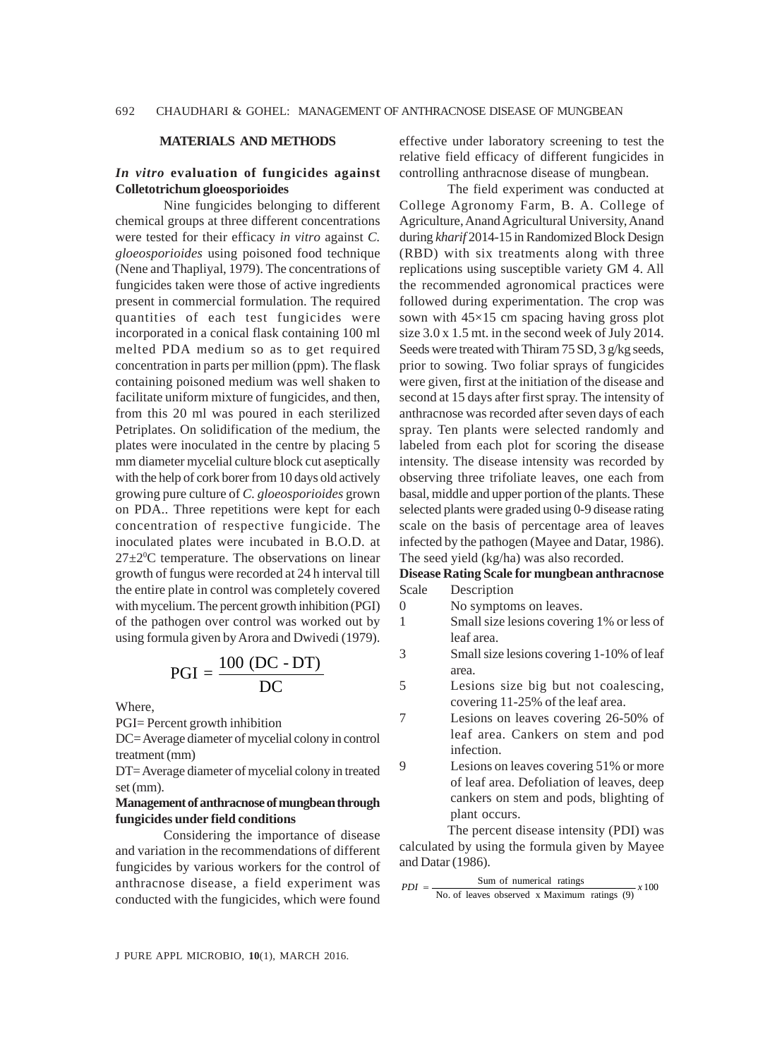#### **MATERIALS AND METHODS**

### *In vitro* **evaluation of fungicides against Colletotrichum gloeosporioides**

Nine fungicides belonging to different chemical groups at three different concentrations were tested for their efficacy *in vitro* against *C. gloeosporioides* using poisoned food technique (Nene and Thapliyal, 1979). The concentrations of fungicides taken were those of active ingredients present in commercial formulation. The required quantities of each test fungicides were incorporated in a conical flask containing 100 ml melted PDA medium so as to get required concentration in parts per million (ppm). The flask containing poisoned medium was well shaken to facilitate uniform mixture of fungicides, and then, from this 20 ml was poured in each sterilized Petriplates. On solidification of the medium, the plates were inoculated in the centre by placing 5 mm diameter mycelial culture block cut aseptically with the help of cork borer from 10 days old actively growing pure culture of *C. gloeosporioides* grown on PDA.. Three repetitions were kept for each concentration of respective fungicide. The inoculated plates were incubated in B.O.D. at  $27 \pm 2^0$ C temperature. The observations on linear growth of fungus were recorded at 24 h interval till the entire plate in control was completely covered with mycelium. The percent growth inhibition (PGI) of the pathogen over control was worked out by using formula given by Arora and Dwivedi (1979).

$$
PGI = \frac{100 (DC - DT)}{DC}
$$

Where,

PGI= Percent growth inhibition

DC= Average diameter of mycelial colony in control treatment (mm)

DT= Average diameter of mycelial colony in treated set (mm).

## **Management of anthracnose of mungbean through fungicides under field conditions**

Considering the importance of disease and variation in the recommendations of different fungicides by various workers for the control of anthracnose disease, a field experiment was conducted with the fungicides, which were found

effective under laboratory screening to test the relative field efficacy of different fungicides in controlling anthracnose disease of mungbean.

The field experiment was conducted at College Agronomy Farm, B. A. College of Agriculture, Anand Agricultural University, Anand during *kharif* 2014-15 in Randomized Block Design (RBD) with six treatments along with three replications using susceptible variety GM 4. All the recommended agronomical practices were followed during experimentation. The crop was sown with 45×15 cm spacing having gross plot size 3.0 x 1.5 mt. in the second week of July 2014. Seeds were treated with Thiram 75 SD, 3 g/kg seeds, prior to sowing. Two foliar sprays of fungicides were given, first at the initiation of the disease and second at 15 days after first spray. The intensity of anthracnose was recorded after seven days of each spray. Ten plants were selected randomly and labeled from each plot for scoring the disease intensity. The disease intensity was recorded by observing three trifoliate leaves, one each from basal, middle and upper portion of the plants. These selected plants were graded using 0-9 disease rating scale on the basis of percentage area of leaves infected by the pathogen (Mayee and Datar, 1986). The seed yield (kg/ha) was also recorded.

#### **Disease Rating Scale for mungbean anthracnose** Scale Description

0 No symptoms on leaves.

- 1 Small size lesions covering 1% or less of leaf area.
- 3 Small size lesions covering 1-10% of leaf area.
- 5 Lesions size big but not coalescing, covering 11-25% of the leaf area.
- 7 Lesions on leaves covering 26-50% of leaf area. Cankers on stem and pod infection.
- 9 Lesions on leaves covering 51% or more of leaf area. Defoliation of leaves, deep cankers on stem and pods, blighting of plant occurs.

The percent disease intensity (PDI) was calculated by using the formula given by Mayee and Datar (1986).

 $PDI = \frac{\text{Sum of numerical ratings}}{\text{No. of leaves observed x Maximum ratings (9)}} \times 100$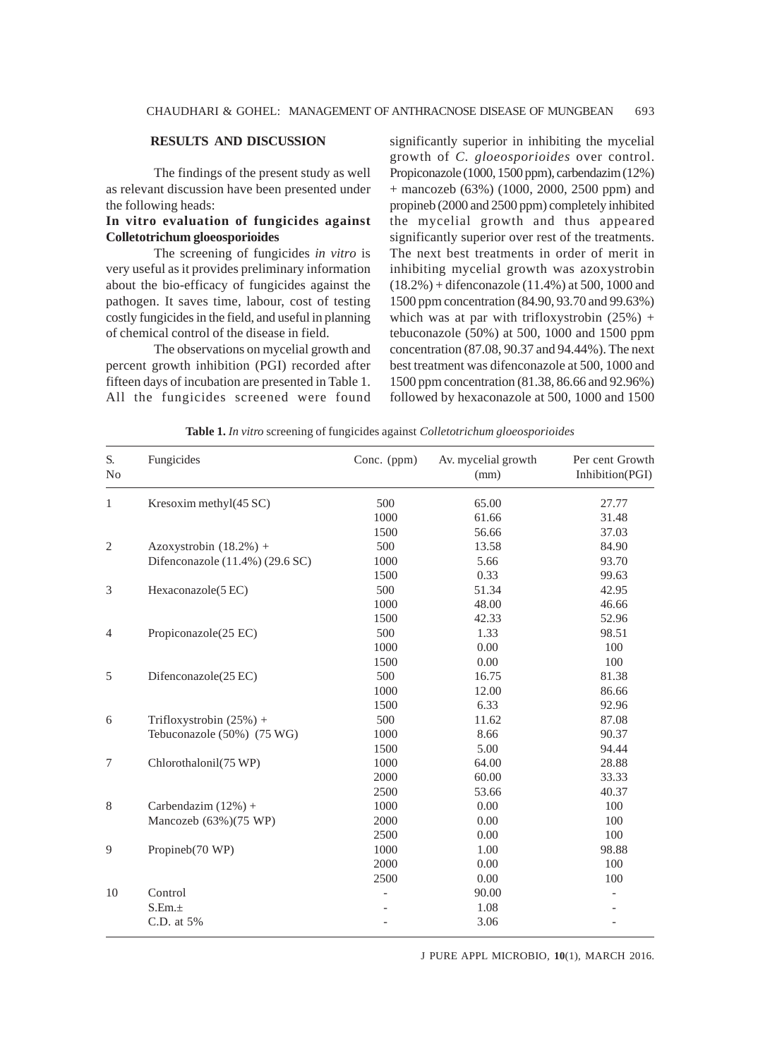## **RESULTS AND DISCUSSION**

The findings of the present study as well as relevant discussion have been presented under the following heads:

## **In vitro evaluation of fungicides against Colletotrichum gloeosporioides**

The screening of fungicides *in vitro* is very useful as it provides preliminary information about the bio-efficacy of fungicides against the pathogen. It saves time, labour, cost of testing costly fungicides in the field, and useful in planning of chemical control of the disease in field.

The observations on mycelial growth and percent growth inhibition (PGI) recorded after fifteen days of incubation are presented in Table 1. All the fungicides screened were found significantly superior in inhibiting the mycelial growth of *C. gloeosporioides* over control. Propiconazole (1000, 1500 ppm), carbendazim (12%) + mancozeb (63%) (1000, 2000, 2500 ppm) and propineb (2000 and 2500 ppm) completely inhibited the mycelial growth and thus appeared significantly superior over rest of the treatments. The next best treatments in order of merit in inhibiting mycelial growth was azoxystrobin (18.2%) + difenconazole (11.4%) at 500, 1000 and 1500 ppm concentration (84.90, 93.70 and 99.63%) which was at par with trifloxystrobin  $(25%) +$ tebuconazole (50%) at 500, 1000 and 1500 ppm concentration (87.08, 90.37 and 94.44%). The next best treatment was difenconazole at 500, 1000 and 1500 ppm concentration (81.38, 86.66 and 92.96%) followed by hexaconazole at 500, 1000 and 1500

| S.<br>No       | Fungicides                      | Conc. (ppm) | Av. mycelial growth<br>(mm) | Per cent Growth<br>Inhibition(PGI) |
|----------------|---------------------------------|-------------|-----------------------------|------------------------------------|
| $\mathbf{1}$   | Kresoxim methyl(45 SC)          | 500         | 65.00                       | 27.77                              |
|                |                                 | 1000        | 61.66                       | 31.48                              |
|                |                                 | 1500        | 56.66                       | 37.03                              |
| $\mathfrak{2}$ | Azoxystrobin $(18.2%) +$        | 500         | 13.58                       | 84.90                              |
|                | Difenconazole (11.4%) (29.6 SC) | 1000        | 5.66                        | 93.70                              |
|                |                                 | 1500        | 0.33                        | 99.63                              |
| 3              | Hexaconazole(5EC)               | 500         | 51.34                       | 42.95                              |
|                |                                 | 1000        | 48.00                       | 46.66                              |
|                |                                 | 1500        | 42.33                       | 52.96                              |
| 4              | Propiconazole(25 EC)            | 500         | 1.33                        | 98.51                              |
|                |                                 | 1000        | 0.00                        | 100                                |
|                |                                 | 1500        | 0.00                        | 100                                |
| 5              | Difenconazole(25 EC)            | 500         | 16.75                       | 81.38                              |
|                |                                 | 1000        | 12.00                       | 86.66                              |
|                |                                 | 1500        | 6.33                        | 92.96                              |
| 6              | Trifloxystrobin $(25%) +$       | 500         | 11.62                       | 87.08                              |
|                | Tebuconazole (50%) (75 WG)      | 1000        | 8.66                        | 90.37                              |
|                |                                 | 1500        | 5.00                        | 94.44                              |
| 7              | Chlorothalonil(75 WP)           | 1000        | 64.00                       | 28.88                              |
|                |                                 | 2000        | 60.00                       | 33.33                              |
|                |                                 | 2500        | 53.66                       | 40.37                              |
| $\,$ 8 $\,$    | Carbendazim $(12%) +$           | 1000        | 0.00                        | 100                                |
|                | Mancozeb (63%)(75 WP)           | 2000        | 0.00                        | 100                                |
|                |                                 | 2500        | 0.00                        | 100                                |
| 9              | Propineb(70 WP)                 | 1000        | 1.00                        | 98.88                              |
|                |                                 | 2000        | 0.00                        | 100                                |
|                |                                 | 2500        | 0.00                        | 100                                |
| 10             | Control                         |             | 90.00                       |                                    |
|                | S.Em.±                          |             | 1.08                        |                                    |
|                | C.D. at 5%                      |             | 3.06                        |                                    |

**Table 1.** *In vitro* screening of fungicides against *Colletotrichum gloeosporioides*

J PURE APPL MICROBIO*,* **10**(1), MARCH 2016.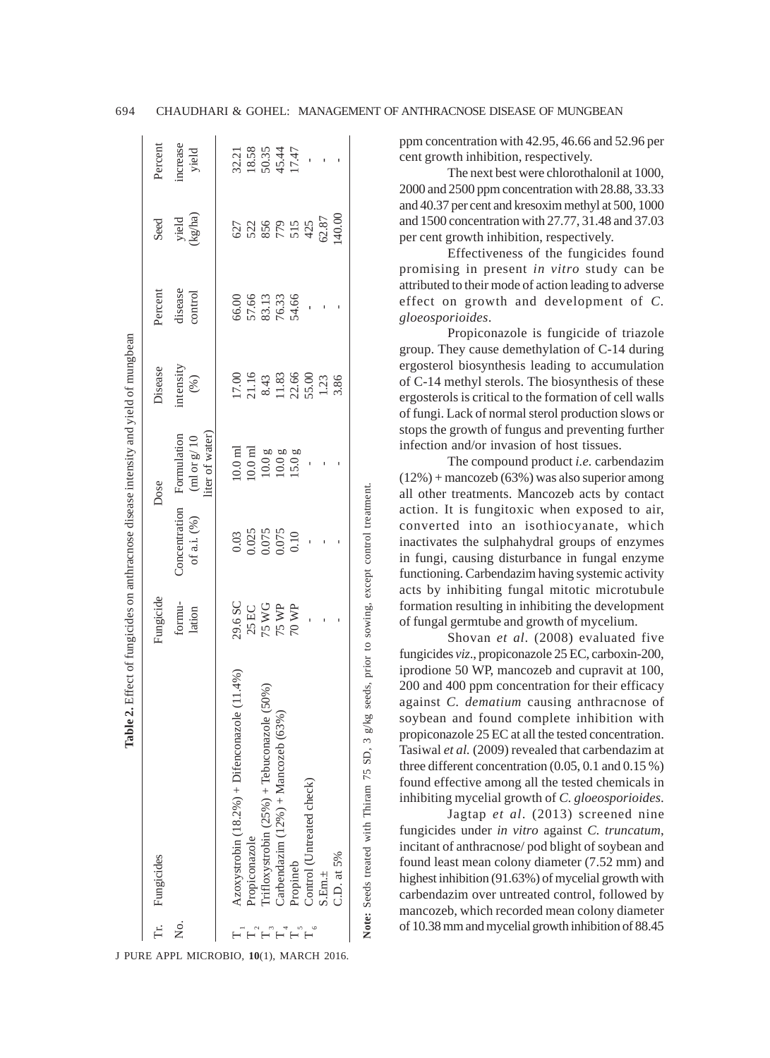| Azoxystrobin $(18.2\%)+D$ ifenconazole $(11.4\%)$<br>rifloxystrobin $(25\%)$ + Tebuconazole (50%)<br>Carbendazim $(12\%) + \text{Manoczeb} (63\%)$<br>Propiconazole<br>Propineb<br>Tr. Fungicides<br>ż.<br>H<br>H H H |                                                                                                                           |                                                                                    |                                                                                                              |                                                                                                          |                                           |                                                      |                                           |
|-----------------------------------------------------------------------------------------------------------------------------------------------------------------------------------------------------------------------|---------------------------------------------------------------------------------------------------------------------------|------------------------------------------------------------------------------------|--------------------------------------------------------------------------------------------------------------|----------------------------------------------------------------------------------------------------------|-------------------------------------------|------------------------------------------------------|-------------------------------------------|
|                                                                                                                                                                                                                       | Fungicide                                                                                                                 |                                                                                    | Dose                                                                                                         | Disease                                                                                                  | Percent                                   | Seed                                                 | Percent                                   |
|                                                                                                                                                                                                                       | formu-<br>lation                                                                                                          | Concentration<br>of a.i. $(\% )$                                                   | liter of water)<br>Formulation<br>(ml or $g\prime$ 10                                                        | intensity<br>$(\%)$                                                                                      | disease<br>control                        | yield<br>(kg/ha)                                     | increase<br>yield                         |
|                                                                                                                                                                                                                       | 29.6 SC                                                                                                                   |                                                                                    | $10.0\ \mathrm{m}$                                                                                           |                                                                                                          |                                           |                                                      |                                           |
|                                                                                                                                                                                                                       |                                                                                                                           | $\begin{array}{c} 0.03 \\ 0.025 \\ 0.075 \\ 0.075 \\ 0.075 \\ 0.10 \\ \end{array}$ |                                                                                                              | $\begin{array}{l} 17.00 \\ 21.16 \\ 8.43 \\ 11.83 \\ 25.00 \\ 1.23 \\ 55.00 \\ 1.33 \\ 3.86 \end{array}$ | 66.00<br>57.66<br>53.13<br>76.33<br>54.66 | 627<br>528<br>555<br>54257<br>5287<br>5287<br>540.00 | 32.21<br>18.58<br>50.35<br>45.47<br>17.47 |
|                                                                                                                                                                                                                       | $\begin{array}{l} 25 \, \mathrm{EC} \\ 75 \, \mathrm{W} \mathrm{G} \\ 75 \, \mathrm{WP} \\ 70 \, \mathrm{WP} \end{array}$ |                                                                                    | $\begin{array}{c} 10.0 \text{ }\mathrm{m} \\ 10.0 \text{ g} \\ 10.0 \text{ g} \\ 15.0 \text{ g} \end{array}$ |                                                                                                          |                                           |                                                      |                                           |
|                                                                                                                                                                                                                       |                                                                                                                           |                                                                                    |                                                                                                              |                                                                                                          |                                           |                                                      |                                           |
|                                                                                                                                                                                                                       |                                                                                                                           |                                                                                    |                                                                                                              |                                                                                                          |                                           |                                                      |                                           |
| Control (Untreated check)                                                                                                                                                                                             |                                                                                                                           |                                                                                    |                                                                                                              |                                                                                                          |                                           |                                                      |                                           |
| $3.$ Em. $\pm$                                                                                                                                                                                                        |                                                                                                                           |                                                                                    |                                                                                                              |                                                                                                          |                                           |                                                      |                                           |
| C.D. at 5%                                                                                                                                                                                                            |                                                                                                                           |                                                                                    |                                                                                                              |                                                                                                          |                                           |                                                      |                                           |

J PURE APPL MICROBIO*,* **10**(1), MARCH 2016.

Note: Seeds treated with Thiram 75 SD, 3 g/kg seeds, prior to sowing, except control treatment **Note:** Seeds treated with Thiram 75 SD, 3 g/kg seeds, prior to sowing, except control treatment.

ppm concentration with 42.95, 46.66 and 52.96 per cent growth inhibition, respectively.

The next best were chlorothalonil at 1000, 2000 and 2500 ppm concentration with 28.88, 33.33 and 40.37 per cent and kresoxim methyl at 500, 1000 and 1500 concentration with 27.77, 31.48 and 37.03 per cent growth inhibition, respectively.

Effectiveness of the fungicides found promising in present *in vitro* study can be attributed to their mode of action leading to adverse effect on growth and development of *C. gloeosporioides*.

Propiconazole is fungicide of triazole group. They cause demethylation of C-14 during ergosterol biosynthesis leading to accumulation of C-14 methyl sterols. The biosynthesis of these ergosterols is critical to the formation of cell walls of fungi. Lack of normal sterol production slows or stops the growth of fungus and preventing further infection and/or invasion of host tissues.

The compound product *i.e.* carbendazim (12%) + mancozeb (63%) was also superior among all other treatments. Mancozeb acts by contact action. It is fungitoxic when exposed to air, converted into an isothiocyanate, which inactivates the sulphahydral groups of enzymes in fungi, causing disturbance in fungal enzyme functioning. Carbendazim having systemic activity acts by inhibiting fungal mitotic microtubule formation resulting in inhibiting the development of fungal germtube and growth of mycelium.

Shovan *et al*. (2008) evaluated five fungicides *viz*., propiconazole 25 EC, carboxin-200, iprodione 50 WP, mancozeb and cupravit at 100, 200 and 400 ppm concentration for their efficacy against *C. dematium* causing anthracnose of soybean and found complete inhibition with propiconazole 25 EC at all the tested concentration. Tasiwal *et al.* (2009) revealed that carbendazim at three different concentration (0.05, 0.1 and 0.15 %) found effective among all the tested chemicals in inhibiting mycelial growth of *C. gloeosporioides*.

Jagtap *et al*. (2013) screened nine fungicides under *in vitro* against *C. truncatum*, incitant of anthracnose/ pod blight of soybean and found least mean colony diameter (7.52 mm) and highest inhibition (91.63%) of mycelial growth with carbendazim over untreated control, followed by mancozeb, which recorded mean colony diameter of 10.38 mm and mycelial growth inhibition of 88.45

694 CHAUDHARI & GOHEL: MANAGEMENT OF ANTHRACNOSE DISEASE OF MUNGBEAN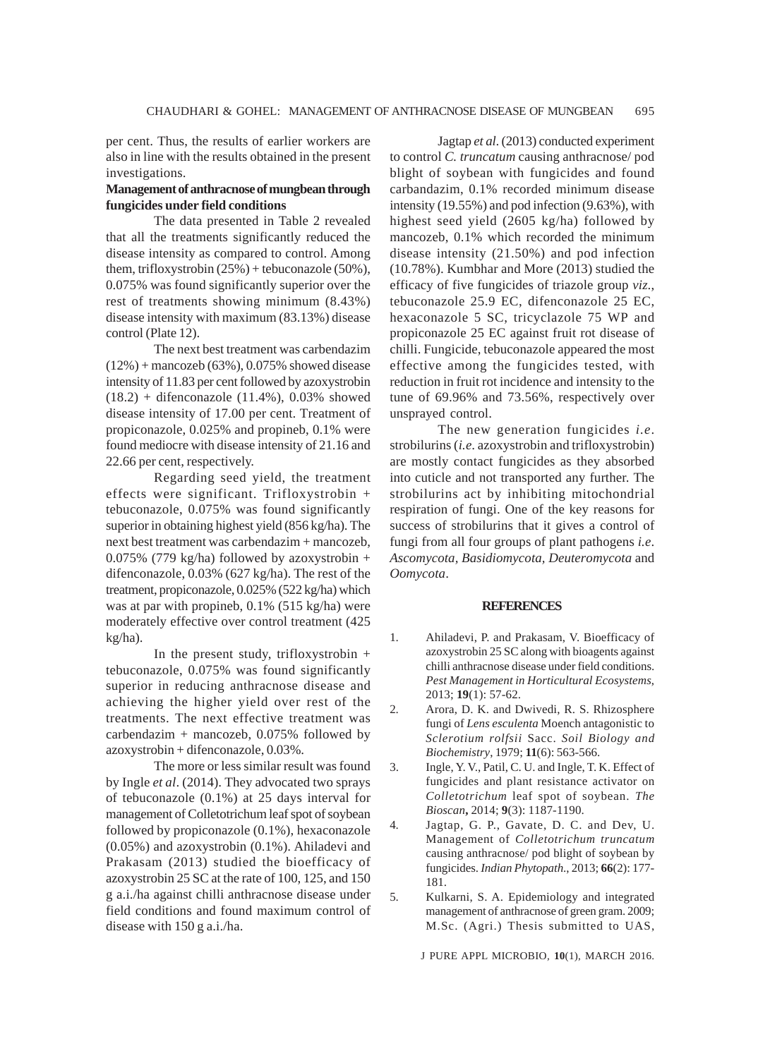per cent. Thus, the results of earlier workers are also in line with the results obtained in the present investigations.

#### **Management of anthracnose of mungbean through fungicides under field conditions**

The data presented in Table 2 revealed that all the treatments significantly reduced the disease intensity as compared to control. Among them, trifloxystrobin (25%) + tebuconazole (50%), 0.075% was found significantly superior over the rest of treatments showing minimum (8.43%) disease intensity with maximum (83.13%) disease control (Plate 12).

The next best treatment was carbendazim (12%) + mancozeb (63%), 0.075% showed disease intensity of 11.83 per cent followed by azoxystrobin  $(18.2)$  + difenconazole  $(11.4%)$ , 0.03% showed disease intensity of 17.00 per cent. Treatment of propiconazole, 0.025% and propineb, 0.1% were found mediocre with disease intensity of 21.16 and 22.66 per cent, respectively.

Regarding seed yield, the treatment effects were significant. Trifloxystrobin + tebuconazole, 0.075% was found significantly superior in obtaining highest yield (856 kg/ha). The next best treatment was carbendazim + mancozeb, 0.075% (779 kg/ha) followed by azoxystrobin + difenconazole, 0.03% (627 kg/ha). The rest of the treatment, propiconazole, 0.025% (522 kg/ha) which was at par with propineb, 0.1% (515 kg/ha) were moderately effective over control treatment (425 kg/ha).

In the present study, trifloxystrobin + tebuconazole, 0.075% was found significantly superior in reducing anthracnose disease and achieving the higher yield over rest of the treatments. The next effective treatment was carbendazim + mancozeb, 0.075% followed by azoxystrobin + difenconazole, 0.03%.

The more or less similar result was found by Ingle *et al*. (2014). They advocated two sprays of tebuconazole (0.1%) at 25 days interval for management of Colletotrichum leaf spot of soybean followed by propiconazole (0.1%), hexaconazole (0.05%) and azoxystrobin (0.1%). Ahiladevi and Prakasam (2013) studied the bioefficacy of azoxystrobin 25 SC at the rate of 100, 125, and 150 g a.i./ha against chilli anthracnose disease under field conditions and found maximum control of disease with 150 g a.i./ha.

Jagtap *et al*. (2013) conducted experiment to control *C. truncatum* causing anthracnose/ pod blight of soybean with fungicides and found carbandazim, 0.1% recorded minimum disease intensity (19.55%) and pod infection (9.63%), with highest seed yield (2605 kg/ha) followed by mancozeb, 0.1% which recorded the minimum disease intensity (21.50%) and pod infection (10.78%). Kumbhar and More (2013) studied the efficacy of five fungicides of triazole group *viz*., tebuconazole 25.9 EC, difenconazole 25 EC, hexaconazole 5 SC, tricyclazole 75 WP and propiconazole 25 EC against fruit rot disease of chilli. Fungicide, tebuconazole appeared the most effective among the fungicides tested, with reduction in fruit rot incidence and intensity to the tune of 69.96% and 73.56%, respectively over unsprayed control.

The new generation fungicides *i.e*. strobilurins (*i.e*. azoxystrobin and trifloxystrobin) are mostly contact fungicides as they absorbed into cuticle and not transported any further. The strobilurins act by inhibiting mitochondrial respiration of fungi. One of the key reasons for success of strobilurins that it gives a control of fungi from all four groups of plant pathogens *i.e*. *Ascomycota, Basidiomycota, Deuteromycota* and *Oomycota*.

#### **REFERENCES**

- 1. Ahiladevi, P. and Prakasam, V. Bioefficacy of azoxystrobin 25 SC along with bioagents against chilli anthracnose disease under field conditions. *Pest Management in Horticultural Ecosystems*, 2013; **19**(1): 57-62.
- 2. Arora, D. K. and Dwivedi, R. S. Rhizosphere fungi of *Lens esculenta* Moench antagonistic to *Sclerotium rolfsii* Sacc. *Soil Biology and Biochemistry*, 1979; **11**(6): 563-566.
- 3. Ingle, Y. V., Patil, C. U. and Ingle, T. K. Effect of fungicides and plant resistance activator on *Colletotrichum* leaf spot of soybean. *The Bioscan***,** 2014; **9**(3): 1187-1190.
- 4. Jagtap, G. P., Gavate, D. C. and Dev, U. Management of *Colletotrichum truncatum* causing anthracnose/ pod blight of soybean by fungicides. *Indian Phytopath*., 2013; **66**(2): 177- 181.
- 5. Kulkarni, S. A. Epidemiology and integrated management of anthracnose of green gram. 2009; M.Sc. (Agri.) Thesis submitted to UAS,

J PURE APPL MICROBIO*,* **10**(1), MARCH 2016.